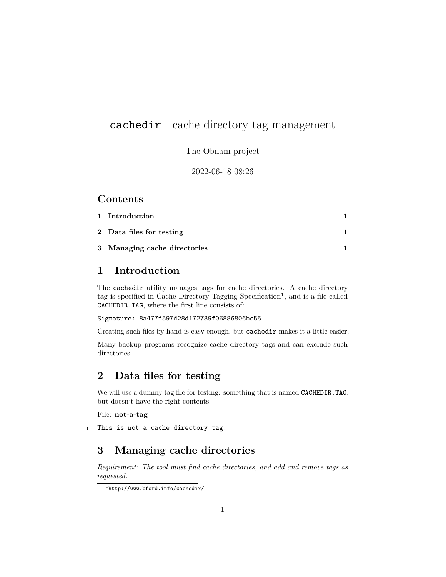# cachedir—cache directory tag management

The Obnam project

2022-06-18 08:26

### **Contents**

| 1 Introduction               |  |
|------------------------------|--|
| 2 Data files for testing     |  |
| 3 Managing cache directories |  |

### <span id="page-0-0"></span>**1 Introduction**

The cachedir utility manages tags for cache directories. A cache directory tag is specified in Cache Directory Tagging  $S$ pecification<sup>[1](#page-0-3)</sup>, and is a file called CACHEDIR.TAG, where the first line consists of:

#### Signature: 8a477f597d28d172789f06886806bc55

Creating such files by hand is easy enough, but cachedir makes it a little easier.

Many backup programs recognize cache directory tags and can exclude such directories.

## <span id="page-0-1"></span>**2 Data files for testing**

We will use a dummy tag file for testing: something that is named CACHEDIR.TAG, but doesn't have the right contents.

#### File: **not-a-tag**

1 This is not a cache directory tag.

### <span id="page-0-2"></span>**3 Managing cache directories**

*Requirement: The tool must find cache directories, and add and remove tags as requested.*

<span id="page-0-3"></span> $^{\rm l}$ <http://www.bford.info/cachedir/>